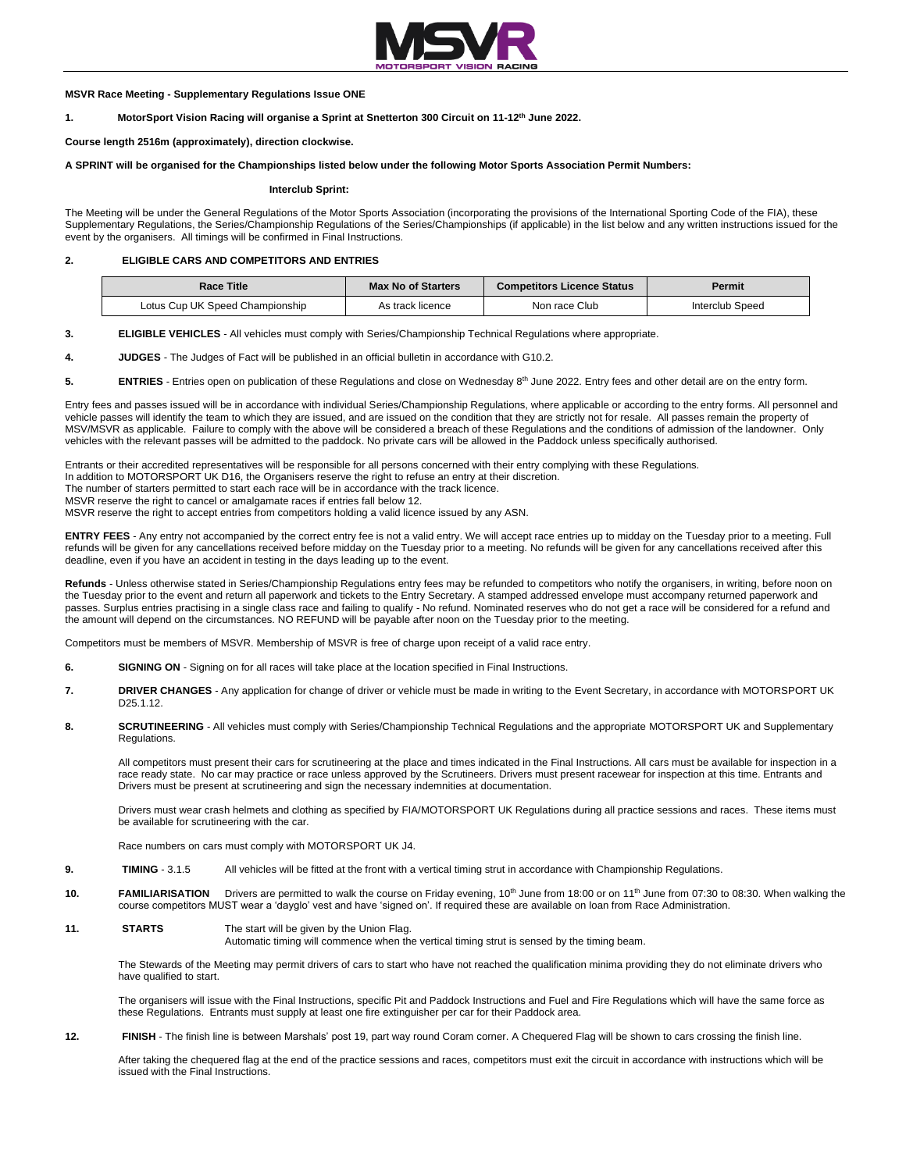

### **MSVR Race Meeting - Supplementary Regulations Issue ONE**

**1. MotorSport Vision Racing will organise a Sprint at Snetterton 300 Circuit on 11-12th June 2022.**

## **Course length 2516m (approximately), direction clockwise.**

### **A SPRINT will be organised for the Championships listed below under the following Motor Sports Association Permit Numbers:**

#### **Interclub Sprint:**

The Meeting will be under the General Regulations of the Motor Sports Association (incorporating the provisions of the International Sporting Code of the FIA), these Supplementary Regulations, the Series/Championship Regulations of the Series/Championships (if applicable) in the list below and any written instructions issued for the event by the organisers. All timings will be confirmed in Final Instructions.

## **2. ELIGIBLE CARS AND COMPETITORS AND ENTRIES**

| <b>Race Title</b>               | <b>Max No of Starters</b> | <b>Competitors Licence Status</b> | Permit          |
|---------------------------------|---------------------------|-----------------------------------|-----------------|
| Lotus Cup UK Speed Championship | As track licence          | Non race Club                     | Interclub Speed |

**3. ELIGIBLE VEHICLES** - All vehicles must comply with Series/Championship Technical Regulations where appropriate.

- **4. JUDGES** The Judges of Fact will be published in an official bulletin in accordance with G10.2.
- 5. **ENTRIES** Entries open on publication of these Regulations and close on Wednesday 8<sup>th</sup> June 2022. Entry fees and other detail are on the entry form.

Entry fees and passes issued will be in accordance with individual Series/Championship Regulations, where applicable or according to the entry forms. All personnel and vehicle passes will identify the team to which they are issued, and are issued on the condition that they are strictly not for resale. All passes remain the property of MSV/MSVR as applicable. Failure to comply with the above will be considered a breach of these Regulations and the conditions of admission of the landowner. Only vehicles with the relevant passes will be admitted to the paddock. No private cars will be allowed in the Paddock unless specifically authorised.

Entrants or their accredited representatives will be responsible for all persons concerned with their entry complying with these Regulations.

In addition to MOTORSPORT UK D16, the Organisers reserve the right to refuse an entry at their discretion.

The number of starters permitted to start each race will be in accordance with the track licence.

MSVR reserve the right to cancel or amalgamate races if entries fall below 12.

MSVR reserve the right to accept entries from competitors holding a valid licence issued by any ASN.

**ENTRY FEES** - Any entry not accompanied by the correct entry fee is not a valid entry. We will accept race entries up to midday on the Tuesday prior to a meeting. Full refunds will be given for any cancellations received before midday on the Tuesday prior to a meeting. No refunds will be given for any cancellations received after this deadline, even if you have an accident in testing in the days leading up to the event.

Refunds - Unless otherwise stated in Series/Championship Regulations entry fees may be refunded to competitors who notify the organisers, in writing, before noon on the Tuesday prior to the event and return all paperwork and tickets to the Entry Secretary. A stamped addressed envelope must accompany returned paperwork and passes. Surplus entries practising in a single class race and failing to qualify - No refund. Nominated reserves who do not get a race will be considered for a refund and the amount will depend on the circumstances. NO REFUND will be payable after noon on the Tuesday prior to the meeting.

Competitors must be members of MSVR. Membership of MSVR is free of charge upon receipt of a valid race entry.

- **6. SIGNING ON** Signing on for all races will take place at the location specified in Final Instructions.
- **7. DRIVER CHANGES** Any application for change of driver or vehicle must be made in writing to the Event Secretary, in accordance with MOTORSPORT UK D25.1.12.
- 8. **SCRUTINEERING** All vehicles must comply with Series/Championship Technical Regulations and the appropriate MOTORSPORT UK and Supplementary Regulations.

All competitors must present their cars for scrutineering at the place and times indicated in the Final Instructions. All cars must be available for inspection in a race ready state. No car may practice or race unless approved by the Scrutineers. Drivers must present racewear for inspection at this time. Entrants and Drivers must be present at scrutineering and sign the necessary indemnities at documentation.

Drivers must wear crash helmets and clothing as specified by FIA/MOTORSPORT UK Regulations during all practice sessions and races. These items must be available for scrutineering with the car.

Race numbers on cars must comply with MOTORSPORT UK J4.

- **9. TIMING** 3.1.5 All vehicles will be fitted at the front with a vertical timing strut in accordance with Championship Regulations.
- 10. **FAMILIARISATION** Drivers are permitted to walk the course on Friday evening, 10<sup>th</sup> June from 18:00 or on 11<sup>th</sup> June from 07:30 to 08:30. When walking the course competitors MUST wear a 'dayglo' vest and have 'signed on'. If required these are available on loan from Race Administration.
- **11. STARTS** The start will be given by the Union Flag.

Automatic timing will commence when the vertical timing strut is sensed by the timing beam.

The Stewards of the Meeting may permit drivers of cars to start who have not reached the qualification minima providing they do not eliminate drivers who have qualified to start.

The organisers will issue with the Final Instructions, specific Pit and Paddock Instructions and Fuel and Fire Regulations which will have the same force as these Regulations. Entrants must supply at least one fire extinguisher per car for their Paddock area.

12. **FINISH** - The finish line is between Marshals' post 19, part way round Coram corner. A Chequered Flag will be shown to cars crossing the finish line.

After taking the chequered flag at the end of the practice sessions and races, competitors must exit the circuit in accordance with instructions which will be issued with the Final Instructions.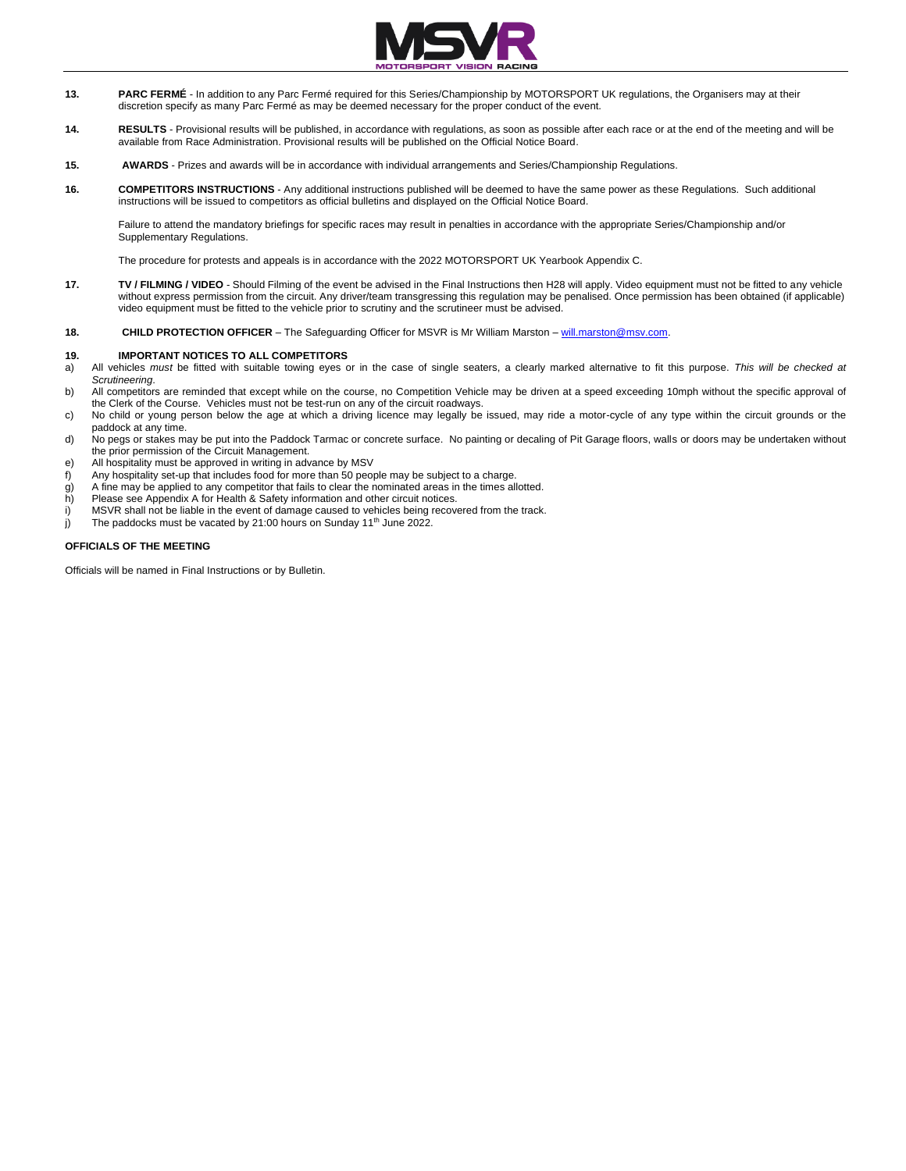

- **13. PARC FERMÉ** In addition to any Parc Fermé required for this Series/Championship by MOTORSPORT UK regulations, the Organisers may at their discretion specify as many Parc Fermé as may be deemed necessary for the proper conduct of the event.
- **14. RESULTS** Provisional results will be published, in accordance with regulations, as soon as possible after each race or at the end of the meeting and will be available from Race Administration. Provisional results will be published on the Official Notice Board.
- **15. AWARDS** Prizes and awards will be in accordance with individual arrangements and Series/Championship Regulations.
- **16. COMPETITORS INSTRUCTIONS** Any additional instructions published will be deemed to have the same power as these Regulations. Such additional instructions will be issued to competitors as official bulletins and displayed on the Official Notice Board.

Failure to attend the mandatory briefings for specific races may result in penalties in accordance with the appropriate Series/Championship and/or Supplementary Regulations.

The procedure for protests and appeals is in accordance with the 2022 MOTORSPORT UK Yearbook Appendix C.

- **17. TV / FILMING / VIDEO** Should Filming of the event be advised in the Final Instructions then H28 will apply. Video equipment must not be fitted to any vehicle without express permission from the circuit. Any driver/team transgressing this regulation may be penalised. Once permission has been obtained (if applicable) video equipment must be fitted to the vehicle prior to scrutiny and the scrutineer must be advised.
- **18. CHILD PROTECTION OFFICER** The Safeguarding Officer for MSVR is Mr William Marston will.marston@msv.com.

### **19. IMPORTANT NOTICES TO ALL COMPETITORS**

- a) All vehicles *must* be fitted with suitable towing eyes or in the case of single seaters, a clearly marked alternative to fit this purpose. *This will be checked at Scrutineering*.
- b) All competitors are reminded that except while on the course, no Competition Vehicle may be driven at a speed exceeding 10mph without the specific approval of the Clerk of the Course. Vehicles must not be test-run on any of the circuit roadways.
- c) No child or young person below the age at which a driving licence may legally be issued, may ride a motor-cycle of any type within the circuit grounds or the paddock at any time.
- d) No pegs or stakes may be put into the Paddock Tarmac or concrete surface. No painting or decaling of Pit Garage floors, walls or doors may be undertaken without the prior permission of the Circuit Management.
- e) All hospitality must be approved in writing in advance by MSV
- f) Any hospitality set-up that includes food for more than 50 people may be subject to a charge.
- g) A fine may be applied to any competitor that fails to clear the nominated areas in the times allotted.<br>h) Please see Appendix A for Health & Safety information and other circuit notices.
- Please see Appendix A for Health & Safety information and other circuit notices.
- i) MSVR shall not be liable in the event of damage caused to vehicles being recovered from the track.
- j) The paddocks must be vacated by 21:00 hours on Sunday 11<sup>th</sup> June 2022.

## **OFFICIALS OF THE MEETING**

Officials will be named in Final Instructions or by Bulletin.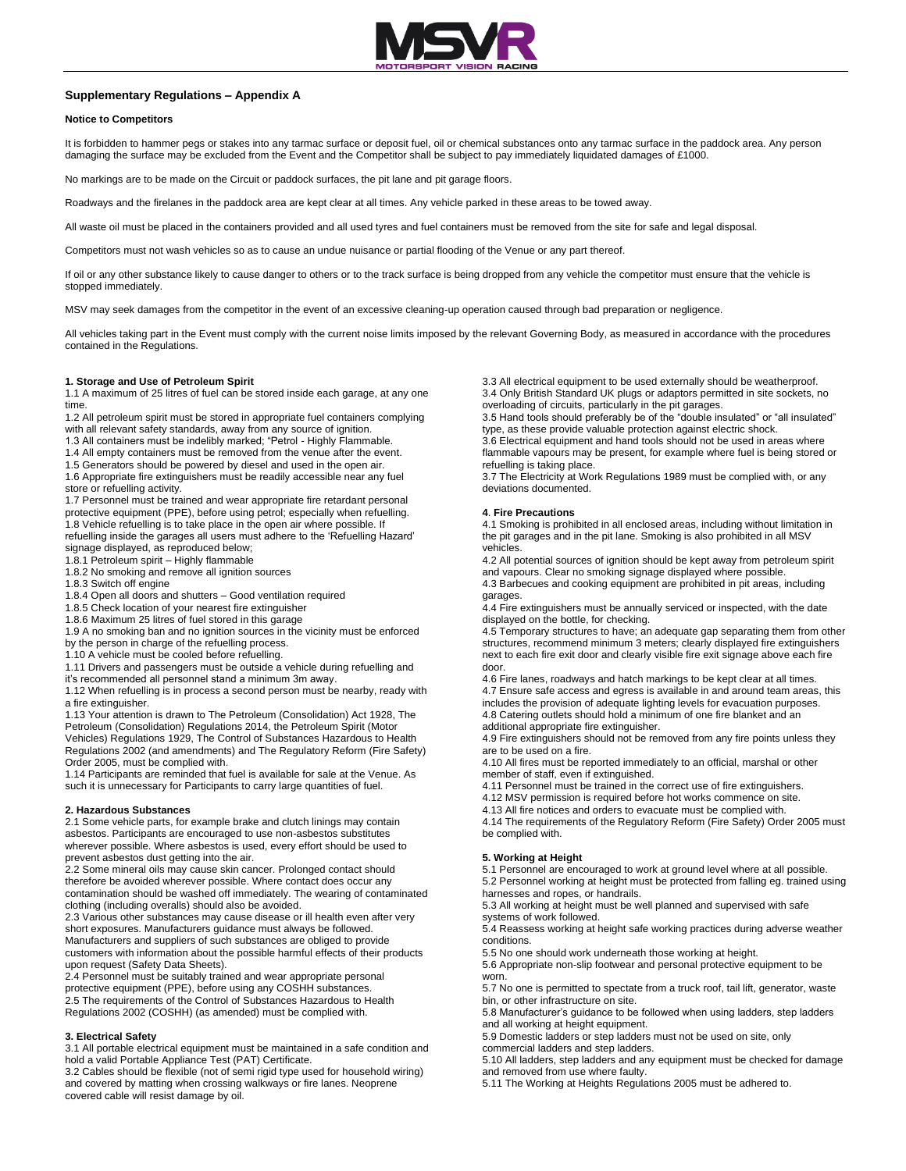

## **Supplementary Regulations – Appendix A**

## **Notice to Competitors**

It is forbidden to hammer pegs or stakes into any tarmac surface or deposit fuel, oil or chemical substances onto any tarmac surface in the paddock area. Any person damaging the surface may be excluded from the Event and the Competitor shall be subject to pay immediately liquidated damages of £1000.

No markings are to be made on the Circuit or paddock surfaces, the pit lane and pit garage floors.

Roadways and the firelanes in the paddock area are kept clear at all times. Any vehicle parked in these areas to be towed away.

All waste oil must be placed in the containers provided and all used tyres and fuel containers must be removed from the site for safe and legal disposal.

Competitors must not wash vehicles so as to cause an undue nuisance or partial flooding of the Venue or any part thereof.

If oil or any other substance likely to cause danger to others or to the track surface is being dropped from any vehicle the competitor must ensure that the vehicle is stopped immediately.

MSV may seek damages from the competitor in the event of an excessive cleaning-up operation caused through bad preparation or negligence.

All vehicles taking part in the Event must comply with the current noise limits imposed by the relevant Governing Body, as measured in accordance with the procedures contained in the Regulations.

### **1. Storage and Use of Petroleum Spirit**

1.1 A maximum of 25 litres of fuel can be stored inside each garage, at any one time.

1.2 All petroleum spirit must be stored in appropriate fuel containers complying with all relevant safety standards, away from any source of ignition.

1.3 All containers must be indelibly marked; "Petrol - Highly Flammable.

1.4 All empty containers must be removed from the venue after the event.

1.5 Generators should be powered by diesel and used in the open air.

1.6 Appropriate fire extinguishers must be readily accessible near any fuel store or refuelling activity.

1.7 Personnel must be trained and wear appropriate fire retardant personal protective equipment (PPE), before using petrol; especially when refuelling. 1.8 Vehicle refuelling is to take place in the open air where possible. If refuelling inside the garages all users must adhere to the 'Refuelling Hazard'

signage displayed, as reproduced below;

1.8.1 Petroleum spirit – Highly flammable

1.8.2 No smoking and remove all ignition sources

1.8.3 Switch off engine

1.8.4 Open all doors and shutters – Good ventilation required

1.8.5 Check location of your nearest fire extinguisher

1.8.6 Maximum 25 litres of fuel stored in this garage

1.9 A no smoking ban and no ignition sources in the vicinity must be enforced by the person in charge of the refuelling process.

1.10 A vehicle must be cooled before refuelling.

1.11 Drivers and passengers must be outside a vehicle during refuelling and

it's recommended all personnel stand a minimum 3m away.

1.12 When refuelling is in process a second person must be nearby, ready with a fire extinguisher.

1.13 Your attention is drawn to The Petroleum (Consolidation) Act 1928, The Petroleum (Consolidation) Regulations 2014, the Petroleum Spirit (Motor Vehicles) Regulations 1929, The Control of Substances Hazardous to Health Regulations 2002 (and amendments) and The Regulatory Reform (Fire Safety) Order 2005, must be complied with.

1.14 Participants are reminded that fuel is available for sale at the Venue. As such it is unnecessary for Participants to carry large quantities of fuel.

### **2. Hazardous Substances**

2.1 Some vehicle parts, for example brake and clutch linings may contain asbestos. Participants are encouraged to use non-asbestos substitutes wherever possible. Where asbestos is used, every effort should be used to prevent asbestos dust getting into the air.

2.2 Some mineral oils may cause skin cancer. Prolonged contact should therefore be avoided wherever possible. Where contact does occur any contamination should be washed off immediately. The wearing of contaminated clothing (including overalls) should also be avoided.

2.3 Various other substances may cause disease or ill health even after very short exposures. Manufacturers guidance must always be followed. Manufacturers and suppliers of such substances are obliged to provide customers with information about the possible harmful effects of their products upon request (Safety Data Sheets).

2.4 Personnel must be suitably trained and wear appropriate personal protective equipment (PPE), before using any COSHH substances. 2.5 The requirements of the Control of Substances Hazardous to Health Regulations 2002 (COSHH) (as amended) must be complied with.

### **3. Electrical Safety**

3.1 All portable electrical equipment must be maintained in a safe condition and hold a valid Portable Appliance Test (PAT) Certificate.

3.2 Cables should be flexible (not of semi rigid type used for household wiring) and covered by matting when crossing walkways or fire lanes. Neoprene covered cable will resist damage by oil.

3.3 All electrical equipment to be used externally should be weatherproof.

3.4 Only British Standard UK plugs or adaptors permitted in site sockets, no overloading of circuits, particularly in the pit garages.

3.5 Hand tools should preferably be of the "double insulated" or "all insulated" type, as these provide valuable protection against electric shock.

3.6 Electrical equipment and hand tools should not be used in areas where flammable vapours may be present, for example where fuel is being stored or refuelling is taking place.

3.7 The Electricity at Work Regulations 1989 must be complied with, or any deviations documented.

### **4**. **Fire Precautions**

4.1 Smoking is prohibited in all enclosed areas, including without limitation in the pit garages and in the pit lane. Smoking is also prohibited in all MSV vehicles.

4.2 All potential sources of ignition should be kept away from petroleum spirit and vapours. Clear no smoking signage displayed where possible.

4.3 Barbecues and cooking equipment are prohibited in pit areas, including garages.

4.4 Fire extinguishers must be annually serviced or inspected, with the date displayed on the bottle, for checking.

4.5 Temporary structures to have; an adequate gap separating them from other structures, recommend minimum 3 meters; clearly displayed fire extinguishers next to each fire exit door and clearly visible fire exit signage above each fire door.

4.6 Fire lanes, roadways and hatch markings to be kept clear at all times. 4.7 Ensure safe access and egress is available in and around team areas, this includes the provision of adequate lighting levels for evacuation purposes. 4.8 Catering outlets should hold a minimum of one fire blanket and an

additional appropriate fire extinguisher.

4.9 Fire extinguishers should not be removed from any fire points unless they are to be used on a fire.

4.10 All fires must be reported immediately to an official, marshal or other member of staff, even if extinguished.

4.11 Personnel must be trained in the correct use of fire extinguishers.

4.12 MSV permission is required before hot works commence on site.

4.13 All fire notices and orders to evacuate must be complied with.

4.14 The requirements of the Regulatory Reform (Fire Safety) Order 2005 must be complied with.

### **5. Working at Height**

5.1 Personnel are encouraged to work at ground level where at all possible. 5.2 Personnel working at height must be protected from falling eg. trained using harnesses and ropes, or handrails.

5.3 All working at height must be well planned and supervised with safe systems of work followed.

5.4 Reassess working at height safe working practices during adverse weather conditions.

5.5 No one should work underneath those working at height.

5.6 Appropriate non-slip footwear and personal protective equipment to be worn.

5.7 No one is permitted to spectate from a truck roof, tail lift, generator, waste bin, or other infrastructure on site.

5.8 Manufacturer's guidance to be followed when using ladders, step ladders and all working at height equipment.

5.9 Domestic ladders or step ladders must not be used on site, only commercial ladders and step ladders.

5.10 All ladders, step ladders and any equipment must be checked for damage and removed from use where faulty.

5.11 The Working at Heights Regulations 2005 must be adhered to.